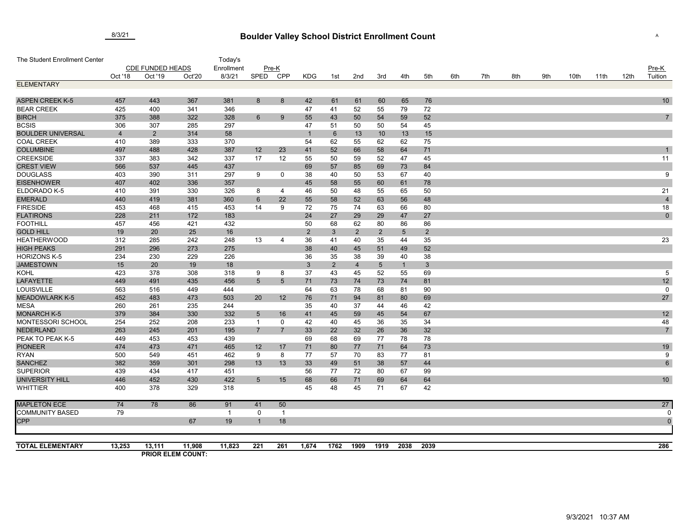## **Boulder Valley School District Enrollment Count** 8/3/21 <sup>A</sup>

| The Student Enrollment Center           |                         |                |                          | Today's     |                                   |                 |                |                |                |                |                 |                |     |     |     |     |      |      |      |                      |
|-----------------------------------------|-------------------------|----------------|--------------------------|-------------|-----------------------------------|-----------------|----------------|----------------|----------------|----------------|-----------------|----------------|-----|-----|-----|-----|------|------|------|----------------------|
|                                         | <b>CDE FUNDED HEADS</b> |                |                          | Enrollment  | $Pre-K$                           |                 |                |                |                |                |                 |                |     |     |     |     |      |      |      | Pre-K                |
|                                         | Oct '18                 | Oct '19        | Oct'20                   | 8/3/21      | <b>SPED</b>                       | CPP             | <b>KDG</b>     | 1st            | 2nd            | 3rd            | 4th             | 5th            | 6th | 7th | 8th | 9th | 10th | 11th | 12th | Tuition              |
| <b>ELEMENTARY</b>                       |                         |                |                          |             |                                   |                 |                |                |                |                |                 |                |     |     |     |     |      |      |      |                      |
|                                         |                         |                |                          |             |                                   |                 |                |                |                |                |                 |                |     |     |     |     |      |      |      |                      |
| <b>ASPEN CREEK K-5</b>                  | 457                     | 443            | 367                      | 381         | 8                                 | 8               | 42             | 61             | 61             | 60             | 65              | 76             |     |     |     |     |      |      |      | 10                   |
| <b>BEAR CREEK</b>                       | 425                     | 400            | 341                      | 346         |                                   |                 | 47             | 41             | 52             | 55             | 79              | 72             |     |     |     |     |      |      |      |                      |
| <b>BIRCH</b>                            | 375                     | 388            | 322                      | 328         | 6                                 | 9               | 55             | 43             | 50             | 54             | 59              | 52             |     |     |     |     |      |      |      | $\overline{7}$       |
| <b>BCSIS</b>                            | 306                     | 307            | 285                      | 297         |                                   |                 | 47             | 51             | 50             | 50             | 54              | 45             |     |     |     |     |      |      |      |                      |
| <b>BOULDER UNIVERSAL</b>                | $\overline{4}$          | $\overline{2}$ | 314                      | 58          |                                   |                 | $\overline{1}$ | 6              | 13             | 10             | 13              | 15             |     |     |     |     |      |      |      |                      |
| <b>COAL CREEK</b>                       | 410                     | 389            | 333                      | 370         |                                   |                 | 54             | 62             | 55             | 62             | 62              | 75             |     |     |     |     |      |      |      |                      |
| <b>COLUMBINE</b>                        | 497                     | 488            | 428                      | 387         | 12                                | 23              | 41             | 52             | 66             | 58             | 64              | 71             |     |     |     |     |      |      |      |                      |
| <b>CREEKSIDE</b>                        | 337                     | 383            | 342                      | 337         | 17                                | 12              | 55             | 50             | 59             | 52             | 47              | 45             |     |     |     |     |      |      |      | 11                   |
| <b>CREST VIEW</b>                       | 566                     | 537            | 445                      | 437         |                                   |                 | 69             | 57             | 85             | 69             | 73              | 84             |     |     |     |     |      |      |      |                      |
| <b>DOUGLASS</b>                         | 403                     | 390            | 311                      | 297         | 9                                 | $\mathbf 0$     | 38             | 40             | 50             | 53             | 67              | 40             |     |     |     |     |      |      |      | 9                    |
| <b>EISENHOWER</b>                       | 407                     | 402            | 336                      | 357         |                                   |                 | 45             | 58             | 55             | 60             | 61              | 78             |     |     |     |     |      |      |      |                      |
| ELDORADO K-5                            | 410                     | 391            | 330                      | 326         | 8                                 | 4               | 46             | 50             | 48             | 55             | 65              | 50             |     |     |     |     |      |      |      | 21                   |
| <b>EMERALD</b>                          | 440                     | 419            | 381                      | 360         | 6                                 | 22              | 55             | 58             | 52             | 63             | 56              | 48             |     |     |     |     |      |      |      | $\overline{4}$       |
| <b>FIRESIDE</b>                         | 453                     | 468            | 415                      | 453         | 14                                | 9               | 72             | 75             | 74             | 63             | 66              | 80             |     |     |     |     |      |      |      | 18                   |
| <b>FLATIRONS</b>                        | 228                     | 211            | 172                      | 183         |                                   |                 | 24             | 27             | 29             | 29             | 47              | 27             |     |     |     |     |      |      |      | $\mathbf 0$          |
| <b>FOOTHILL</b>                         | 457                     | 456            | 421                      | 432         |                                   |                 | 50             | 68             | 62             | 80             | 86              | 86             |     |     |     |     |      |      |      |                      |
| <b>GOLD HILL</b>                        | 19                      | 20             | 25                       | 16          |                                   |                 | $\overline{2}$ | $\mathbf{3}$   | $\overline{2}$ | $\overline{2}$ | $5\overline{)}$ | $\overline{2}$ |     |     |     |     |      |      |      |                      |
| <b>HEATHERWOOD</b>                      | 312                     | 285            | 242                      | 248         | 13                                | 4               | 36             | 41             | 40             | 35             | 44              | 35             |     |     |     |     |      |      |      | 23                   |
| <b>HIGH PEAKS</b>                       | 291                     | 296            | 273                      | 275         |                                   |                 | 38             | 40             | 45             | 51             | 49              | 52             |     |     |     |     |      |      |      |                      |
| <b>HORIZONS K-5</b><br><b>JAMESTOWN</b> | 234<br>15               | 230<br>20      | 229<br>19                | 226<br>18   |                                   |                 | 36             | 35             | 38             | 39             | 40              | 38             |     |     |     |     |      |      |      |                      |
|                                         |                         |                |                          |             |                                   |                 | $\mathbf{3}$   | $\overline{2}$ | $\overline{4}$ | $\sqrt{5}$     | $\mathbf{1}$    | $\mathbf{3}$   |     |     |     |     |      |      |      |                      |
| <b>KOHL</b>                             | 423<br>449              | 378            | 308                      | 318<br>456  | 9                                 | 8               | 37             | 43             | 45             | 52             | 55<br>74        | 69             |     |     |     |     |      |      |      | $\overline{5}$<br>12 |
| <b>LAFAYETTE</b><br>LOUISVILLE          | 563                     | 491<br>516     | 435<br>449               | 444         | $\sqrt{5}$                        | $5\overline{)}$ | 71<br>64       | 73<br>63       | 74<br>78       | 73<br>68       | 81              | 81<br>90       |     |     |     |     |      |      |      | $\mathbf 0$          |
| <b>MEADOWLARK K-5</b>                   | 452                     | 483            | 473                      | 503         | 20                                | 12              | 76             |                |                | 81             | 80              | 69             |     |     |     |     |      |      |      | 27                   |
| <b>MESA</b>                             | 260                     | 261            | 235                      | 244         |                                   |                 | 35             | 71<br>40       | 94<br>37       | 44             | 46              |                |     |     |     |     |      |      |      |                      |
| <b>MONARCH K-5</b>                      | 379                     | 384            | 330                      | 332         |                                   | 16              | 41             |                |                | 45             | 54              | 42<br>67       |     |     |     |     |      |      |      | 12                   |
| MONTESSORI SCHOOL                       | 254                     | 252            | 208                      | 233         | $5\overline{)}$<br>$\overline{1}$ | 0               | 42             | 45<br>40       | 59<br>45       | 36             | 35              | 34             |     |     |     |     |      |      |      | 48                   |
| <b>NEDERLAND</b>                        | 263                     | 245            | 201                      | 195         | $\overline{7}$                    | $\overline{7}$  | 33             | 22             | 32             | 26             | 36              | 32             |     |     |     |     |      |      |      | $\overline{7}$       |
| PEAK TO PEAK K-5                        | 449                     | 453            | 453                      | 439         |                                   |                 | 69             | 68             | 69             | 77             | 78              | 78             |     |     |     |     |      |      |      |                      |
| <b>PIONEER</b>                          | 474                     | 473            | 471                      | 465         | 12                                | 17              | 71             | 80             | 77             | 71             | 64              | 73             |     |     |     |     |      |      |      | 19                   |
| <b>RYAN</b>                             | 500                     | 549            | 451                      | 462         | 9                                 | 8               | 77             | 57             | 70             | 83             | 77              | 81             |     |     |     |     |      |      |      | 9                    |
| <b>SANCHEZ</b>                          | 382                     | 359            | 301                      | 298         | 13                                | 13              | 33             | 49             | 51             | 38             | 57              | 44             |     |     |     |     |      |      |      | $\,6\,$              |
| <b>SUPERIOR</b>                         | 439                     | 434            | 417                      | 451         |                                   |                 | 56             | 77             | 72             | 80             | 67              | 99             |     |     |     |     |      |      |      |                      |
| <b>UNIVERSITY HILL</b>                  | 446                     | 452            | 430                      | 422         | $\sqrt{5}$                        | 15              | 68             | 66             | 71             | 69             | 64              | 64             |     |     |     |     |      |      |      | 10                   |
| <b>WHITTIER</b>                         | 400                     | 378            | 329                      | 318         |                                   |                 | 45             | 48             | 45             | 71             | 67              | 42             |     |     |     |     |      |      |      |                      |
| <b>MAPLETON ECE</b>                     | 74                      | 78             | 86                       | 91          | 41                                | 50              |                |                |                |                |                 |                |     |     |     |     |      |      |      | $\overline{27}$      |
| <b>COMMUNITY BASED</b>                  | 79                      |                |                          | $\mathbf 1$ | 0                                 | -1              |                |                |                |                |                 |                |     |     |     |     |      |      |      |                      |
| CPP                                     |                         |                | 67                       | 19          | $\mathbf 1$                       | 18              |                |                |                |                |                 |                |     |     |     |     |      |      |      | $\mathfrak{c}$       |
|                                         |                         |                |                          |             |                                   |                 |                |                |                |                |                 |                |     |     |     |     |      |      |      |                      |
| <b>TOTAL ELEMENTARY</b>                 | 13,253                  | 13,111         | 11,908                   | 11,823      | 221                               | 261             | 1,674          | 1762           | 1909           | 1919           | 2038            | 2039           |     |     |     |     |      |      |      | 286                  |
|                                         |                         |                | <b>PRIOR ELEM COUNT:</b> |             |                                   |                 |                |                |                |                |                 |                |     |     |     |     |      |      |      |                      |

9/3/2021 10:37 AM